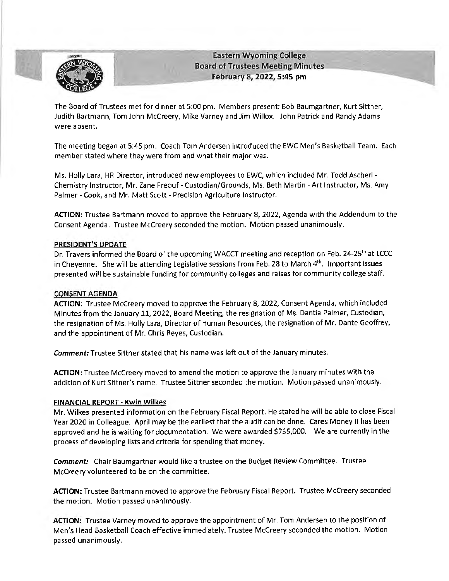

**Eastern Wyoming College Board of Trustees Meeting Minutes February 8, 2022, 5 :45 pm** 

The Board of Trustees met for dinner at 5:00 pm. Members present: Bob Baumgartner, Kurt Sittner, Judith Bartmann, Tom John Mccreery, Mike Varney and Jim Willox. John Patrick and Randy Adams were absent.

The meeting began at 5:45 pm. Coach Tom Andersen introduced the EWC Men's Basketball Team. Each member stated where they were from and what their major was.

Ms. Holly Lara, HR Director, introduced new employees to EWC, which included Mr. Todd Ascherl - Chemistry Instructor, Mr. Zane Freouf- Custodian/Grounds, Ms. Beth Martin - Art Instructor, Ms. Amy Palmer - Cook, and Mr. Matt Scott - Precision Agriculture Instructor.

**ACTION:** Trustee Bartmann moved to approve the February 8, 2022, Agenda with the Addendum to the Consent Agenda. Trustee Mccreery seconded the motion. Motion passed unanimously.

## **PRESIDENT'S UPDATE**

Dr. Travers informed the Board of the upcoming WACCT meeting and reception on Feb. 24-25<sup>th</sup> at LCCC in Cheyenne. She will be attending Legislative sessions from Feb. 28 to March 4th. Important issues presented will be sustainable funding for community colleges and raises for community college staff.

## **CONSENT AGENDA**

**ACTION:** Trustee Mccreery moved to approve the February 8, 2022, Consent Agenda, which included Minutes from the January 11, 2022, Board Meeting, the resignation of Ms. Dantia Palmer, Custodian, the resignation of Ms. Holly Lara, Director of Human Resources, the resignation of Mr. Dante Geoffrey, and the appointment of Mr. Chris Reyes, Custodian.

**Comment:** Trustee Sittner stated that his name was left out of the January minutes.

**ACTION:** Trustee Mccreery moved to amend the motion to approve the January minutes with the addition of Kurt Sittner's name. Trustee Sittner seconded the motion. Motion passed unanimously.

#### **FINANCIAL REPORT· Kwin Wilkes**

Mr. Wilkes presented information on the February Fiscal Report. He stated he will be able to close Fiscal Year 2020 in Colleague. April may be the earliest that the audit can be done. Cares Money II has been approved and he is waiting for documentation. We were awarded \$735,000. We are currently in the process of developing lists and criteria for spending that money.

**Comment:** Chair Baumgartner would like a trustee on the Budget Review Committee. Trustee McCreery volunteered to be on the committee.

**ACTION:** Trustee Bartmann moved to approve the February Fiscal Report. Trustee Mccreery seconded the motion. Motion passed unanimously.

**ACTION:** Trustee Varney moved to approve the appointment of Mr. Tom Andersen to the position of Men's Head Basketball Coach effective immediately. Trustee Mccreery seconded the motion. Motion passed unanimously.